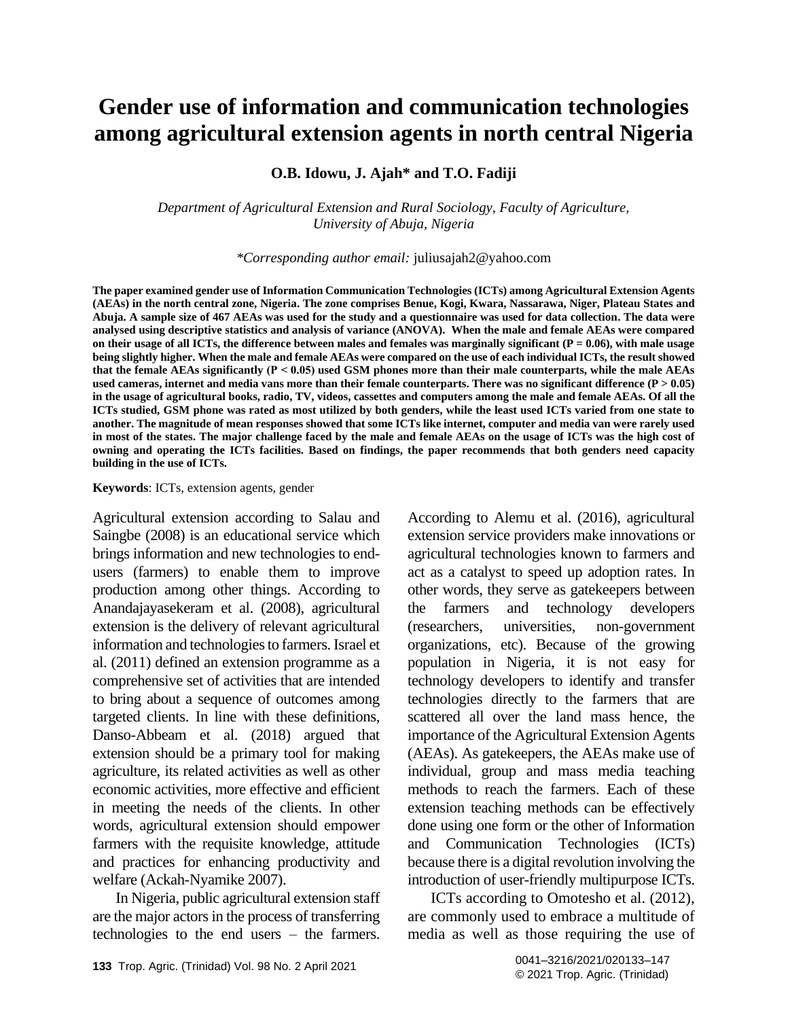# **Gender use of information and communication technologies among agricultural extension agents in north central Nigeria**

**O.B. Idowu, J. Ajah\* and T.O. Fadiji**

*Department of Agricultural Extension and Rural Sociology, Faculty of Agriculture, University of Abuja, Nigeria*

*\*Corresponding author email:* [juliusajah2@yahoo.com](mailto:juliusajah2@yahoo.com)

**The paper examined gender use of Information Communication Technologies (ICTs) among Agricultural Extension Agents (AEAs) in the north central zone, Nigeria. The zone comprises Benue, Kogi, Kwara, Nassarawa, Niger, Plateau States and Abuja. A sample size of 467 AEAs was used for the study and a questionnaire was used for data collection. The data were analysed using descriptive statistics and analysis of variance (ANOVA). When the male and female AEAs were compared**  on their usage of all ICTs, the difference between males and females was marginally significant  $(P = 0.06)$ , with male usage **being slightly higher. When the male and female AEAs were compared on the use of each individual ICTs, the result showed that the female AEAs significantly (P ˂ 0.05) used GSM phones more than their male counterparts, while the male AEAs**  used cameras, internet and media vans more than their female counterparts. There was no significant difference (P  $> 0.05$ ) **in the usage of agricultural books, radio, TV, videos, cassettes and computers among the male and female AEAs. Of all the ICTs studied, GSM phone was rated as most utilized by both genders, while the least used ICTs varied from one state to another. The magnitude of mean responses showed that some ICTs like internet, computer and media van were rarely used in most of the states. The major challenge faced by the male and female AEAs on the usage of ICTs was the high cost of owning and operating the ICTs facilities. Based on findings, the paper recommends that both genders need capacity building in the use of ICTs.** 

#### **Keywords**: ICTs, extension agents, gender

Agricultural extension according to Salau and Saingbe (2008) is an educational service which brings information and new technologies to endusers (farmers) to enable them to improve production among other things. According to Anandajayasekeram et al. (2008), agricultural extension is the delivery of relevant agricultural information and technologies to farmers. Israel et al. (2011) defined an extension programme as a comprehensive set of activities that are intended to bring about a sequence of outcomes among targeted clients. In line with these definitions, Danso-Abbeam et al. (2018) argued that extension should be a primary tool for making agriculture, its related activities as well as other economic activities, more effective and efficient in meeting the needs of the clients. In other words, agricultural extension should empower farmers with the requisite knowledge, attitude and practices for enhancing productivity and welfare (Ackah-Nyamike 2007).

In Nigeria, public agricultural extension staff are the major actors in the process of transferring technologies to the end users – the farmers. According to Alemu et al. (2016), agricultural extension service providers make innovations or agricultural technologies known to farmers and act as a catalyst to speed up adoption rates. In other words, they serve as gatekeepers between the farmers and technology developers (researchers, universities, non-government organizations, etc). Because of the growing population in Nigeria, it is not easy for technology developers to identify and transfer technologies directly to the farmers that are scattered all over the land mass hence, the importance of the Agricultural Extension Agents (AEAs). As gatekeepers, the AEAs make use of individual, group and mass media teaching methods to reach the farmers. Each of these extension teaching methods can be effectively done using one form or the other of Information and Communication Technologies (ICTs) because there is a digital revolution involving the introduction of user-friendly multipurpose ICTs.

ICTs according to Omotesho et al. (2012), are commonly used to embrace a multitude of media as well as those requiring the use of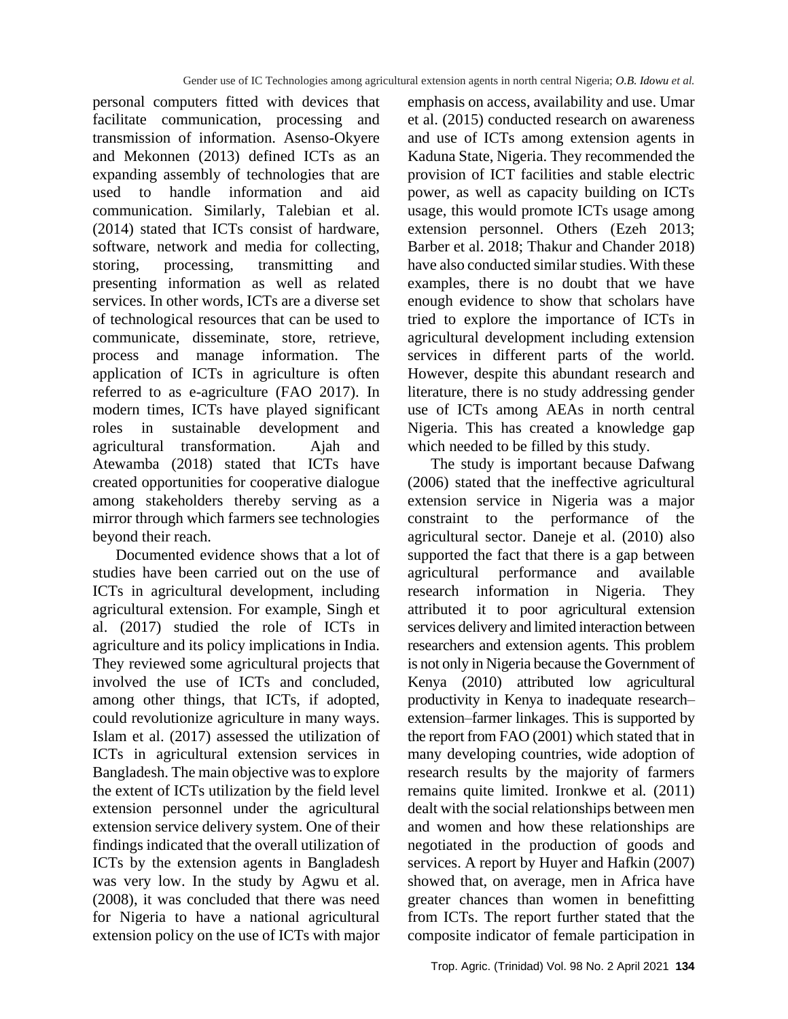personal computers fitted with devices that facilitate communication, processing and transmission of information. Asenso-Okyere and Mekonnen (2013) defined ICTs as an expanding assembly of technologies that are used to handle information and aid communication. Similarly, Talebian et al. (2014) stated that ICTs consist of hardware, software, network and media for collecting, storing, processing, transmitting and presenting information as well as related services. In other words, ICTs are a diverse set of technological resources that can be used to communicate, disseminate, store, retrieve, process and manage information. The application of ICTs in agriculture is often referred to as e-agriculture (FAO 2017). In modern times, ICTs have played significant roles in sustainable development and agricultural transformation. Ajah and Atewamba (2018) stated that ICTs have created opportunities for cooperative dialogue among stakeholders thereby serving as a mirror through which farmers see technologies beyond their reach.

Documented evidence shows that a lot of studies have been carried out on the use of ICTs in agricultural development, including agricultural extension. For example, Singh et al. (2017) studied the role of ICTs in agriculture and its policy implications in India. They reviewed some agricultural projects that involved the use of ICTs and concluded, among other things, that ICTs, if adopted, could revolutionize agriculture in many ways. Islam et al. (2017) assessed the utilization of ICTs in agricultural extension services in Bangladesh. The main objective was to explore the extent of ICTs utilization by the field level extension personnel under the agricultural extension service delivery system. One of their findings indicated that the overall utilization of ICTs by the extension agents in Bangladesh was very low. In the study by Agwu et al. (2008), it was concluded that there was need for Nigeria to have a national agricultural extension policy on the use of ICTs with major emphasis on access, availability and use. Umar et al. (2015) conducted research on awareness and use of ICTs among extension agents in Kaduna State, Nigeria. They recommended the provision of ICT facilities and stable electric power, as well as capacity building on ICTs usage, this would promote ICTs usage among extension personnel. Others (Ezeh 2013; Barber et al. 2018; Thakur and Chander 2018) have also conducted similar studies. With these examples, there is no doubt that we have enough evidence to show that scholars have tried to explore the importance of ICTs in agricultural development including extension services in different parts of the world. However, despite this abundant research and literature, there is no study addressing gender use of ICTs among AEAs in north central Nigeria. This has created a knowledge gap which needed to be filled by this study.

The study is important because Dafwang (2006) stated that the ineffective agricultural extension service in Nigeria was a major constraint to the performance of the agricultural sector. Daneje et al. (2010) also supported the fact that there is a gap between agricultural performance and available research information in Nigeria. They attributed it to poor agricultural extension services delivery and limited interaction between researchers and extension agents. This problem is not only in Nigeria because the Government of Kenya (2010) attributed low agricultural productivity in Kenya to inadequate research– extension–farmer linkages. This is supported by the report from FAO (2001) which stated that in many developing countries, wide adoption of research results by the majority of farmers remains quite limited. Ironkwe et al*.* (2011) dealt with the social relationships between men and women and how these relationships are negotiated in the production of goods and services. A report by Huyer and Hafkin (2007) showed that, on average, men in Africa have greater chances than women in benefitting from ICTs. The report further stated that the composite indicator of female participation in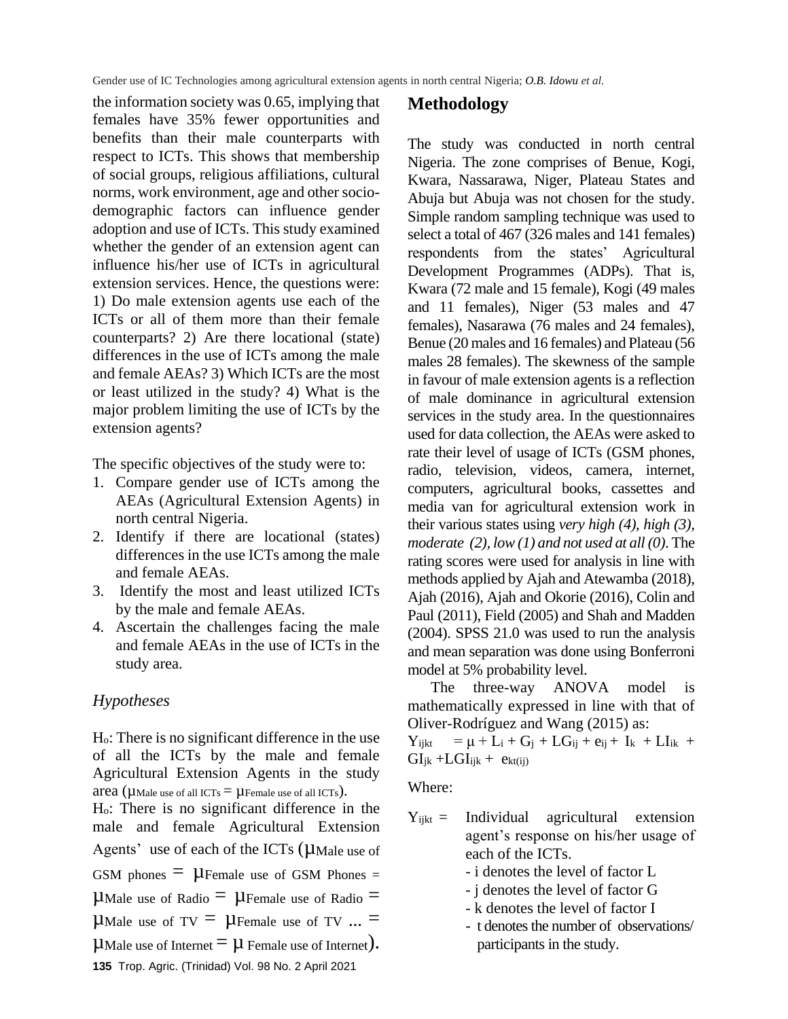the information society was 0.65, implying that females have 35% fewer opportunities and benefits than their male counterparts with respect to ICTs. This shows that membership of social groups, religious affiliations, cultural norms, work environment, age and other sociodemographic factors can influence gender adoption and use of ICTs. This study examined whether the gender of an extension agent can influence his/her use of ICTs in agricultural extension services. Hence, the questions were: 1) Do male extension agents use each of the ICTs or all of them more than their female counterparts? 2) Are there locational (state) differences in the use of ICTs among the male and female AEAs? 3) Which ICTs are the most or least utilized in the study? 4) What is the major problem limiting the use of ICTs by the extension agents?

The specific objectives of the study were to:

- 1. Compare gender use of ICTs among the AEAs (Agricultural Extension Agents) in north central Nigeria.
- 2. Identify if there are locational (states) differences in the use ICTs among the male and female AEAs.
- 3. Identify the most and least utilized ICTs by the male and female AEAs.
- 4. Ascertain the challenges facing the male and female AEAs in the use of ICTs in the study area.

#### *Hypotheses*

Ho: There is no significant difference in the use of all the ICTs by the male and female Agricultural Extension Agents in the study area ( $\mu$ Male use of all ICTs =  $\mu$ Female use of all ICTs). Ho: There is no significant difference in the

male and female Agricultural Extension Agents' use of each of the ICTs ( $\mu$ Male use of GSM phones  $= \mu$ Female use of GSM Phones =

 $\mu$ Male use of Radio  $= \mu$ Female use of Radio  $=$ 

**UMale use of TV**  $= \mu$  **Female use of TV ...**  $=$ 

**135** Trop. Agric. (Trinidad) Vol. 98 No. 2 April 2021 **U**Male use of Internet  $= \mu$  Female use of Internet).

#### **Methodology**

The study was conducted in north central Nigeria. The zone comprises of Benue, Kogi, Kwara, Nassarawa, Niger, Plateau States and Abuja but Abuja was not chosen for the study. Simple random sampling technique was used to select a total of 467 (326 males and 141 females) respondents from the states' Agricultural Development Programmes (ADPs). That is, Kwara (72 male and 15 female), Kogi (49 males and 11 females), Niger (53 males and 47 females), Nasarawa (76 males and 24 females), Benue (20 males and 16 females) and Plateau (56 males 28 females). The skewness of the sample in favour of male extension agents is a reflection of male dominance in agricultural extension services in the study area. In the questionnaires used for data collection, the AEAs were asked to rate their level of usage of ICTs (GSM phones, radio, television, videos, camera, internet, computers, agricultural books, cassettes and media van for agricultural extension work in their various states using *very high (4), high (3), moderate (2), low (1) and not used at all (0)*. The rating scores were used for analysis in line with methods applied by Ajah and Atewamba (2018), Ajah (2016), Ajah and Okorie (2016), Colin and Paul (2011), Field (2005) and Shah and Madden (2004). SPSS 21.0 was used to run the analysis and mean separation was done using Bonferroni model at 5% probability level.

The three-way ANOVA model is mathematically expressed in line with that of Oliver-Rodríguez and Wang (2015) as:

 $Y_{i,jkt} = \mu + L_i + G_j + LG_{ij} + e_{ij} + I_k + LI_{ik} + I_k$  $GI_{ik} + LGI_{ijk} + e_{kt(i)}$ 

Where:

- $Y_{iikt}$  = Individual agricultural extension agent's response on his/her usage of each of the ICTs.
	- i denotes the level of factor L
	- j denotes the level of factor G
	- k denotes the level of factor I
	- t denotes the number of observations/ participants in the study.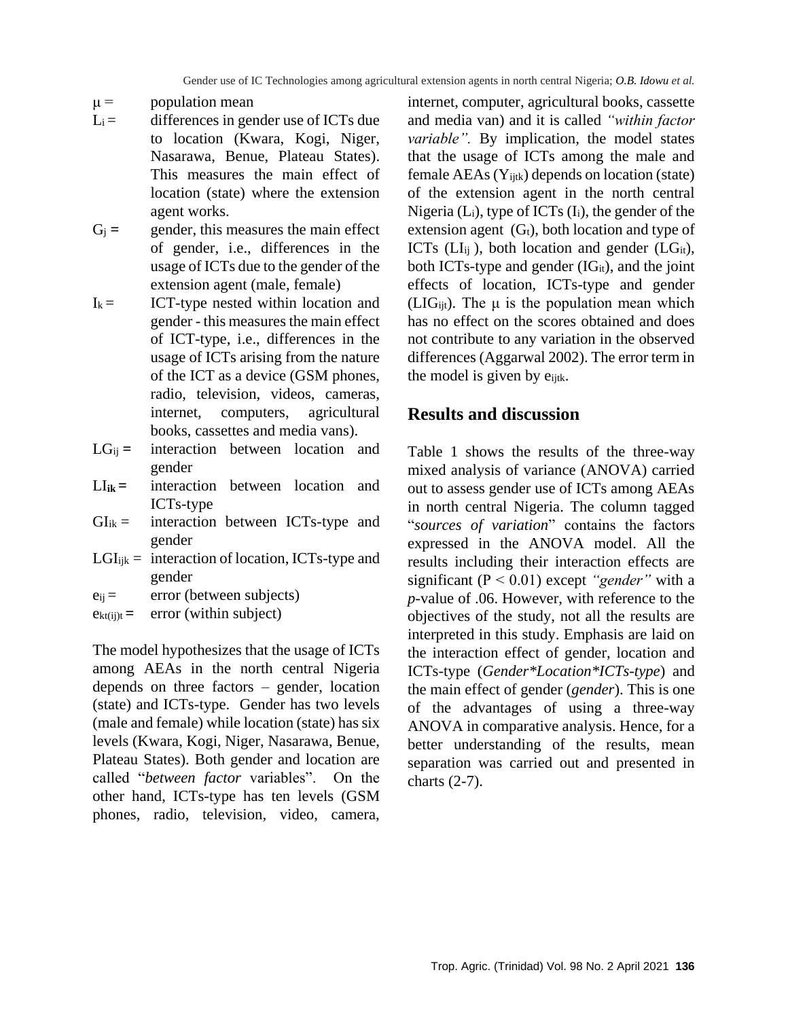#### $\mu =$  population mean

- $L_i =$  differences in gender use of ICTs due to location (Kwara, Kogi, Niger, Nasarawa, Benue, Plateau States). This measures the main effect of location (state) where the extension agent works.
- $G_i =$  gender, this measures the main effect of gender, i.e., differences in the usage of ICTs due to the gender of the extension agent (male, female)
- $I_k =$  ICT-type nested within location and gender - this measures the main effect of ICT-type, i.e., differences in the usage of ICTs arising from the nature of the ICT as a device (GSM phones, radio, television, videos, cameras, internet, computers, agricultural books, cassettes and media vans).
- LG<sub>ij</sub> = interaction between location and gender
- $LI_{ik}$  **=** interaction between location and ICTs-type
- $GI_{ik} =$  interaction between ICTs-type and gender
- $LGI_{ijk}$  = interaction of location, ICTs-type and gender
- $e_{ij}$  = error (between subjects)
- $e_{kt(ij)t}$  **=** error (within subject)

The model hypothesizes that the usage of ICTs among AEAs in the north central Nigeria depends on three factors – gender, location (state) and ICTs-type. Gender has two levels (male and female) while location (state) has six levels (Kwara, Kogi, Niger, Nasarawa, Benue, Plateau States). Both gender and location are called "*between factor* variables". On the other hand, ICTs-type has ten levels (GSM phones, radio, television, video, camera, internet, computer, agricultural books, cassette and media van) and it is called *"within factor variable".* By implication, the model states that the usage of ICTs among the male and female  $AEAs(Y_{ijtk})$  depends on location (state) of the extension agent in the north central Nigeria  $(L_i)$ , type of ICTs  $(I_i)$ , the gender of the extension agent  $(G_t)$ , both location and type of ICTs ( $LI_{ij}$ ), both location and gender ( $LG_{it}$ ), both ICTs-type and gender  $(IG_{it})$ , and the joint effects of location, ICTs-type and gender (LIG<sub>ijt</sub>). The  $\mu$  is the population mean which has no effect on the scores obtained and does not contribute to any variation in the observed differences (Aggarwal 2002). The error term in the model is given by e<sub>ijtk</sub>.

## **Results and discussion**

Table 1 shows the results of the three-way mixed analysis of variance (ANOVA) carried out to assess gender use of ICTs among AEAs in north central Nigeria. The column tagged "*sources of variation*" contains the factors expressed in the ANOVA model. All the results including their interaction effects are significant (P ˂ 0.01) except *"gender"* with a *p*-value of .06. However, with reference to the objectives of the study, not all the results are interpreted in this study. Emphasis are laid on the interaction effect of gender, location and ICTs-type (*Gender\*Location\*ICTs-type*) and the main effect of gender (*gender*). This is one of the advantages of using a three-way ANOVA in comparative analysis. Hence, for a better understanding of the results, mean separation was carried out and presented in charts (2-7).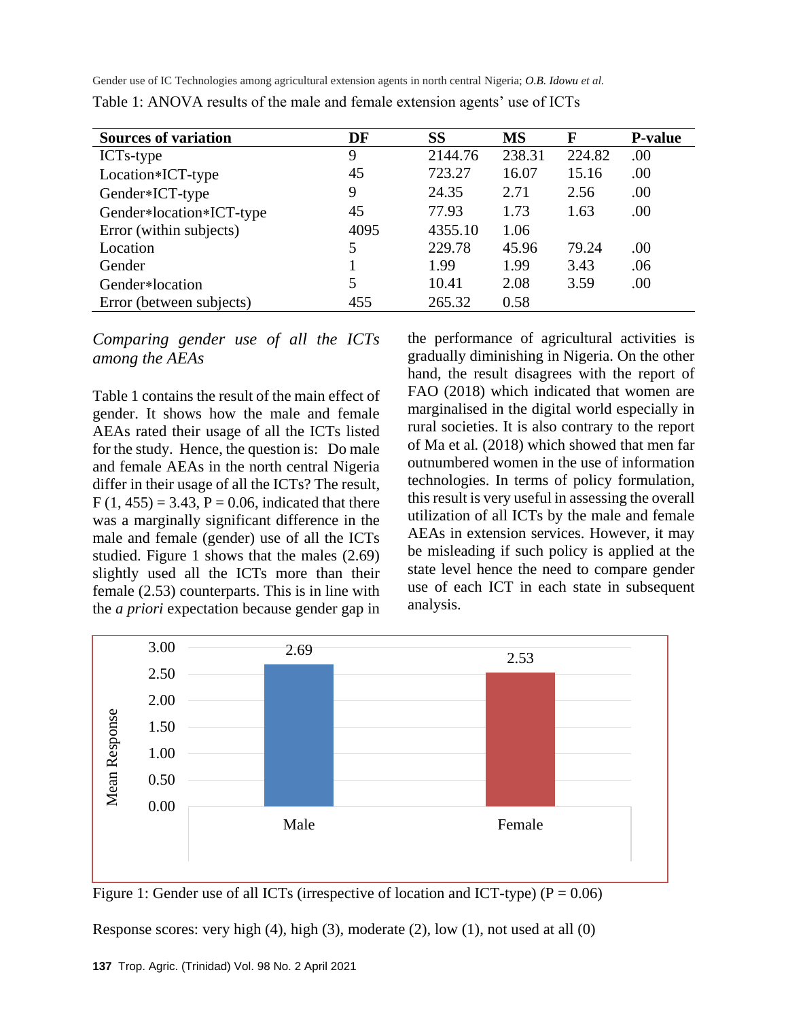| <b>Sources of variation</b> | DF   | SS      | <b>MS</b> | F      | <b>P-value</b> |
|-----------------------------|------|---------|-----------|--------|----------------|
| ICTs-type                   | 9    | 2144.76 | 238.31    | 224.82 | .00            |
| Location*ICT-type           | 45   | 723.27  | 16.07     | 15.16  | .00            |
| Gender*ICT-type             | 9    | 24.35   | 2.71      | 2.56   | .00            |
| Gender*location*ICT-type    | 45   | 77.93   | 1.73      | 1.63   | .00            |
| Error (within subjects)     | 4095 | 4355.10 | 1.06      |        |                |
| Location                    | 5    | 229.78  | 45.96     | 79.24  | .00            |
| Gender                      |      | 1.99    | 1.99      | 3.43   | .06            |
| Gender*location             | 5    | 10.41   | 2.08      | 3.59   | .00            |
| Error (between subjects)    | 455  | 265.32  | 0.58      |        |                |

Table 1: ANOVA results of the male and female extension agents' use of ICTs

*Comparing gender use of all the ICTs among the AEAs*

Table 1 contains the result of the main effect of gender. It shows how the male and female AEAs rated their usage of all the ICTs listed for the study. Hence, the question is: Do male and female AEAs in the north central Nigeria differ in their usage of all the ICTs? The result,  $F(1, 455) = 3.43, P = 0.06$ , indicated that there was a marginally significant difference in the male and female (gender) use of all the ICTs studied. Figure 1 shows that the males (2.69) slightly used all the ICTs more than their female (2.53) counterparts. This is in line with the *a priori* expectation because gender gap in the performance of agricultural activities is gradually diminishing in Nigeria. On the other hand, the result disagrees with the report of FAO (2018) which indicated that women are marginalised in the digital world especially in rural societies. It is also contrary to the report of Ma et al*.* (2018) which showed that men far outnumbered women in the use of information technologies. In terms of policy formulation, this result is very useful in assessing the overall utilization of all ICTs by the male and female AEAs in extension services. However, it may be misleading if such policy is applied at the state level hence the need to compare gender use of each ICT in each state in subsequent analysis.



Figure 1: Gender use of all ICTs (irrespective of location and ICT-type) ( $P = 0.06$ )

Response scores: very high (4), high (3), moderate (2), low (1), not used at all (0)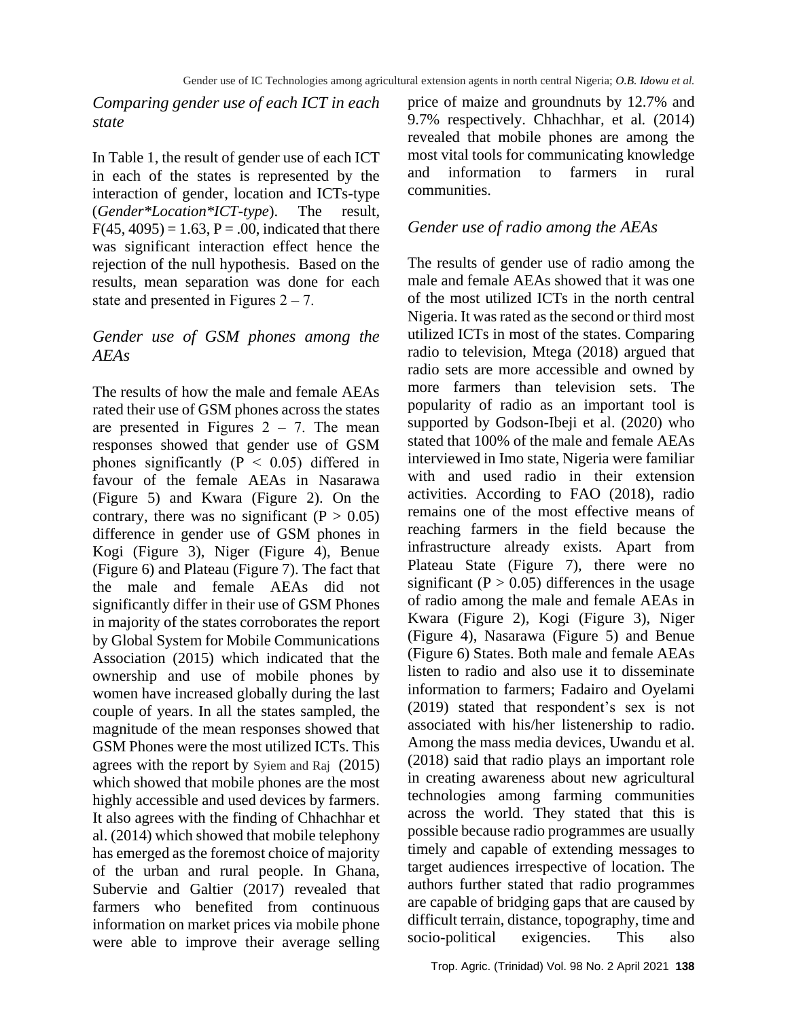*Comparing gender use of each ICT in each state*

In Table 1, the result of gender use of each ICT in each of the states is represented by the interaction of gender, location and ICTs-type (*Gender\*Location\*ICT-type*). The result,  $F(45, 4095) = 1.63, P = .00$ , indicated that there was significant interaction effect hence the rejection of the null hypothesis. Based on the results, mean separation was done for each state and presented in Figures  $2 - 7$ .

## *Gender use of GSM phones among the AEAs*

The results of how the male and female AEAs rated their use of GSM phones across the states are presented in Figures  $2 - 7$ . The mean responses showed that gender use of GSM phones significantly ( $P \le 0.05$ ) differed in favour of the female AEAs in Nasarawa (Figure 5) and Kwara (Figure 2). On the contrary, there was no significant ( $P > 0.05$ ) difference in gender use of GSM phones in Kogi (Figure 3), Niger (Figure 4), Benue (Figure 6) and Plateau (Figure 7). The fact that the male and female AEAs did not significantly differ in their use of GSM Phones in majority of the states corroborates the report by Global System for Mobile Communications Association (2015) which indicated that the ownership and use of mobile phones by women have increased globally during the last couple of years. In all the states sampled, the magnitude of the mean responses showed that GSM Phones were the most utilized ICTs. This agrees with the report by Syiem and Raj (2015) which showed that mobile phones are the most highly accessible and used devices by farmers. It also agrees with the finding of Chhachhar et al. (2014) which showed that mobile telephony has emerged as the foremost choice of majority of the urban and rural people. In Ghana, Subervie and Galtier (2017) revealed that farmers who benefited from continuous information on market prices via mobile phone were able to improve their average selling

price of maize and groundnuts by 12.7% and 9.7% respectively. Chhachhar*,* et al*.* (2014) revealed that mobile phones are among the most vital tools for communicating knowledge and information to farmers in rural communities.

#### *Gender use of radio among the AEAs*

The results of gender use of radio among the male and female AEAs showed that it was one of the most utilized ICTs in the north central Nigeria. It was rated as the second or third most utilized ICTs in most of the states. Comparing radio to television, Mtega (2018) argued that radio sets are more accessible and owned by more farmers than television sets. The popularity of radio as an important tool is supported by Godson-Ibeji et al. (2020) who stated that 100% of the male and female AEAs interviewed in Imo state, Nigeria were familiar with and used radio in their extension activities. According to FAO (2018), radio remains one of the most effective means of reaching farmers in the field because the infrastructure already exists. Apart from Plateau State (Figure 7), there were no significant ( $P > 0.05$ ) differences in the usage of radio among the male and female AEAs in Kwara (Figure 2), Kogi (Figure 3), Niger (Figure 4), Nasarawa (Figure 5) and Benue (Figure 6) States. Both male and female AEAs listen to radio and also use it to disseminate information to farmers; Fadairo and Oyelami (2019) stated that respondent's sex is not associated with his/her listenership to radio. Among the mass media devices, Uwandu et al. (2018) said that radio plays an important role in creating awareness about new agricultural technologies among farming communities across the world. They stated that this is possible because radio programmes are usually timely and capable of extending messages to target audiences irrespective of location. The authors further stated that radio programmes are capable of bridging gaps that are caused by difficult terrain, distance, topography, time and socio-political exigencies. This also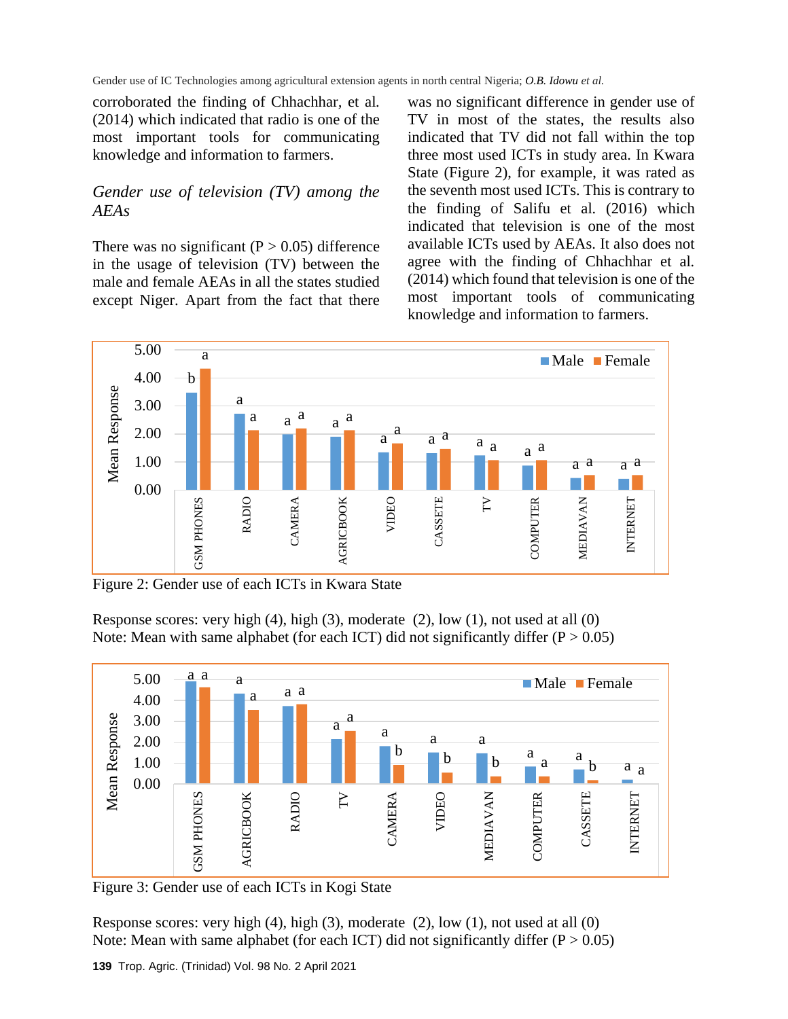corroborated the finding of Chhachhar*,* et al*.* (2014) which indicated that radio is one of the most important tools for communicating knowledge and information to farmers.

## *Gender use of television (TV) among the AEAs*

There was no significant ( $P > 0.05$ ) difference in the usage of television (TV) between the male and female AEAs in all the states studied except Niger. Apart from the fact that there

was no significant difference in gender use of TV in most of the states, the results also indicated that TV did not fall within the top three most used ICTs in study area. In Kwara State (Figure 2), for example, it was rated as the seventh most used ICTs. This is contrary to the finding of Salifu et al*.* (2016) which indicated that television is one of the most available ICTs used by AEAs. It also does not agree with the finding of Chhachhar et al*.* (2014) which found that television is one of the most important tools of communicating knowledge and information to farmers.



Figure 2: Gender use of each ICTs in Kwara State

Response scores: very high (4), high (3), moderate (2), low (1), not used at all (0) Note: Mean with same alphabet (for each ICT) did not significantly differ  $(P > 0.05)$ 



Figure 3: Gender use of each ICTs in Kogi State

Response scores: very high (4), high (3), moderate (2), low (1), not used at all (0) Note: Mean with same alphabet (for each ICT) did not significantly differ  $(P > 0.05)$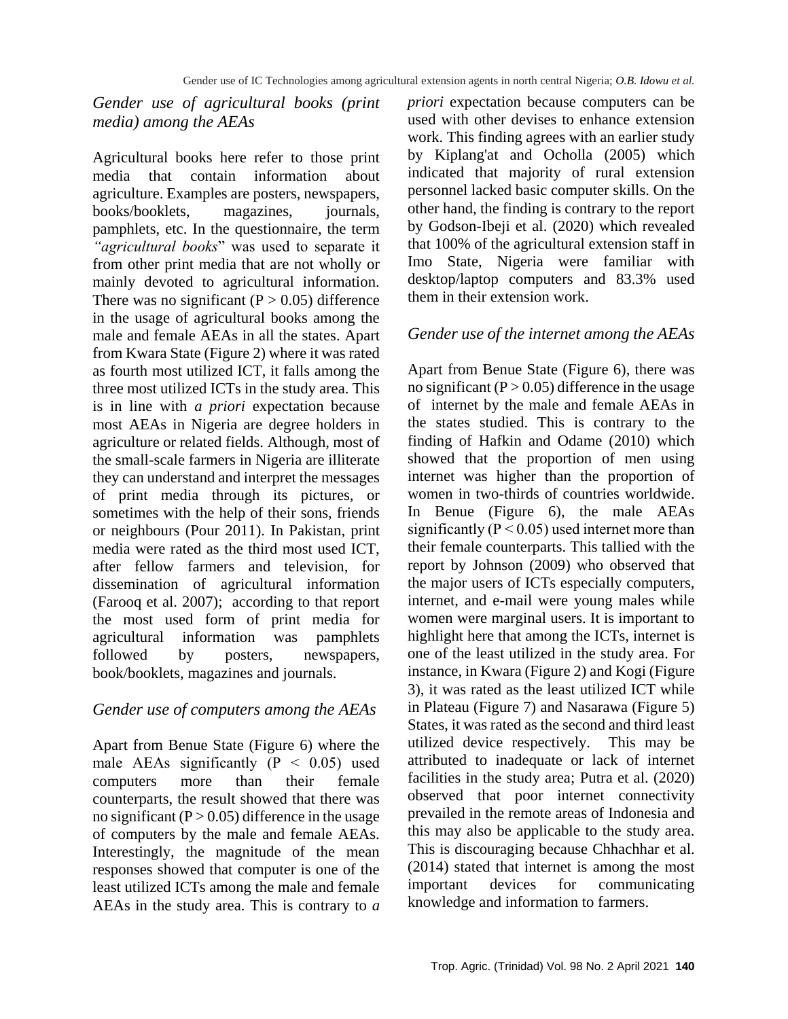## *Gender use of agricultural books (print media) among the AEAs*

Agricultural books here refer to those print media that contain information about agriculture. Examples are posters, newspapers, books/booklets, magazines, journals, pamphlets, etc. In the questionnaire, the term *"agricultural books*" was used to separate it from other print media that are not wholly or mainly devoted to agricultural information. There was no significant ( $P > 0.05$ ) difference in the usage of agricultural books among the male and female AEAs in all the states. Apart from Kwara State (Figure 2) where it was rated as fourth most utilized ICT, it falls among the three most utilized ICTs in the study area. This is in line with *a priori* expectation because most AEAs in Nigeria are degree holders in agriculture or related fields. Although, most of the small-scale farmers in Nigeria are illiterate they can understand and interpret the messages of print media through its pictures, or sometimes with the help of their sons, friends or neighbours (Pour 2011). In Pakistan, print media were rated as the third most used ICT, after fellow farmers and television, for dissemination of agricultural information (Farooq et al. 2007); according to that report the most used form of print media for agricultural information was pamphlets followed by posters, newspapers, book/booklets, magazines and journals.

## *Gender use of computers among the AEAs*

Apart from Benue State (Figure 6) where the male AEAs significantly  $(P < 0.05)$  used computers more than their female counterparts, the result showed that there was no significant  $(P > 0.05)$  difference in the usage of computers by the male and female AEAs. Interestingly, the magnitude of the mean responses showed that computer is one of the least utilized ICTs among the male and female AEAs in the study area. This is contrary to *a*  *priori* expectation because computers can be used with other devises to enhance extension work. This finding agrees with an earlier study by Kiplang'at and Ocholla (2005) which indicated that majority of rural extension personnel lacked basic computer skills. On the other hand, the finding is contrary to the report by Godson-Ibeji et al. (2020) which revealed that 100% of the agricultural extension staff in Imo State, Nigeria were familiar with desktop/laptop computers and 83.3% used them in their extension work.

#### *Gender use of the internet among the AEAs*

Apart from Benue State (Figure 6), there was no significant ( $P > 0.05$ ) difference in the usage of internet by the male and female AEAs in the states studied. This is contrary to the finding of Hafkin and Odame (2010) which showed that the proportion of men using internet was higher than the proportion of women in two-thirds of countries worldwide. In Benue (Figure 6), the male AEAs significantly ( $P < 0.05$ ) used internet more than their female counterparts. This tallied with the report by Johnson (2009) who observed that the major users of ICTs especially computers, internet, and e-mail were young males while women were marginal users. It is important to highlight here that among the ICTs, internet is one of the least utilized in the study area. For instance, in Kwara (Figure 2) and Kogi (Figure 3), it was rated as the least utilized ICT while in Plateau (Figure 7) and Nasarawa (Figure 5) States, it was rated as the second and third least utilized device respectively. This may be attributed to inadequate or lack of internet facilities in the study area; Putra et al. (2020) observed that poor internet connectivity prevailed in the remote areas of Indonesia and this may also be applicable to the study area. This is discouraging because Chhachhar et al. (2014) stated that internet is among the most important devices for communicating knowledge and information to farmers.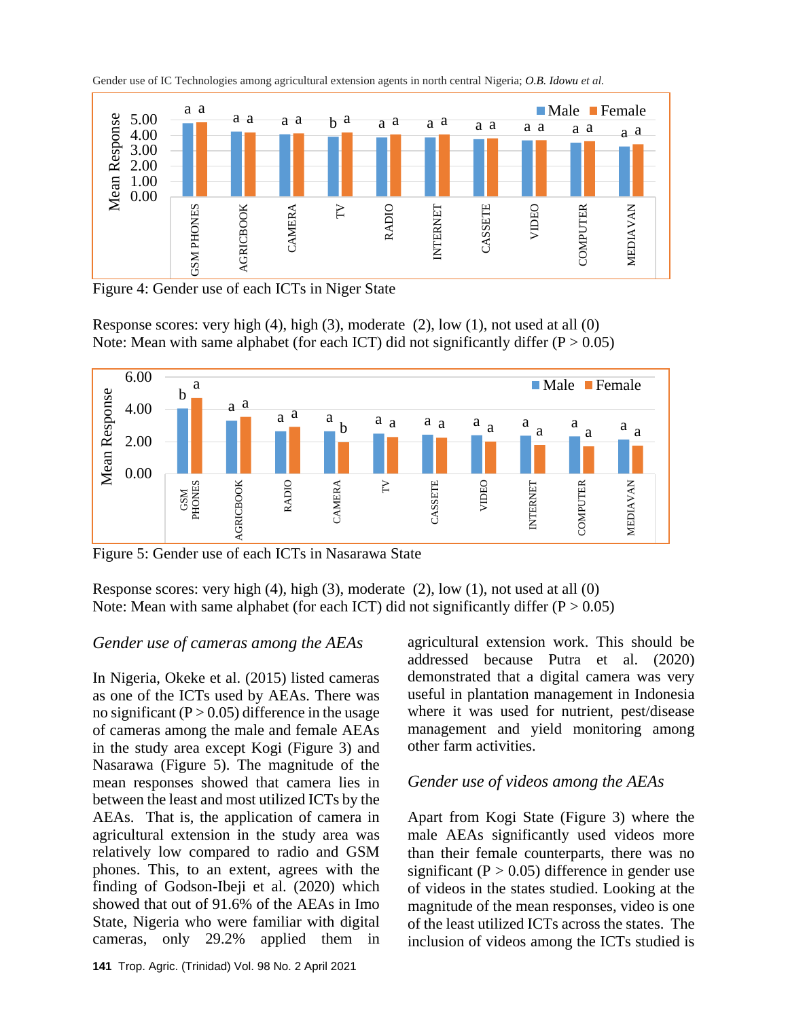

Gender use of IC Technologies among agricultural extension agents in north central Nigeria; *O.B. Idowu et al.*

Figure 4: Gender use of each ICTs in Niger State

Response scores: very high (4), high (3), moderate (2), low (1), not used at all (0) Note: Mean with same alphabet (for each ICT) did not significantly differ  $(P > 0.05)$ 



Figure 5: Gender use of each ICTs in Nasarawa State

Response scores: very high (4), high (3), moderate (2), low (1), not used at all (0) Note: Mean with same alphabet (for each ICT) did not significantly differ  $(P > 0.05)$ 

## *Gender use of cameras among the AEAs*

In Nigeria, Okeke et al. (2015) listed cameras as one of the ICTs used by AEAs. There was no significant  $(P > 0.05)$  difference in the usage of cameras among the male and female AEAs in the study area except Kogi (Figure 3) and Nasarawa (Figure 5). The magnitude of the mean responses showed that camera lies in between the least and most utilized ICTs by the AEAs. That is, the application of camera in agricultural extension in the study area was relatively low compared to radio and GSM phones. This, to an extent, agrees with the finding of Godson-Ibeji et al. (2020) which showed that out of 91.6% of the AEAs in Imo State, Nigeria who were familiar with digital cameras, only 29.2% applied them in agricultural extension work. This should be addressed because Putra et al. (2020) demonstrated that a digital camera was very useful in plantation management in Indonesia where it was used for nutrient, pest/disease management and yield monitoring among other farm activities.

## *Gender use of videos among the AEAs*

Apart from Kogi State (Figure 3) where the male AEAs significantly used videos more than their female counterparts, there was no significant ( $P > 0.05$ ) difference in gender use of videos in the states studied. Looking at the magnitude of the mean responses, video is one of the least utilized ICTs across the states. The inclusion of videos among the ICTs studied is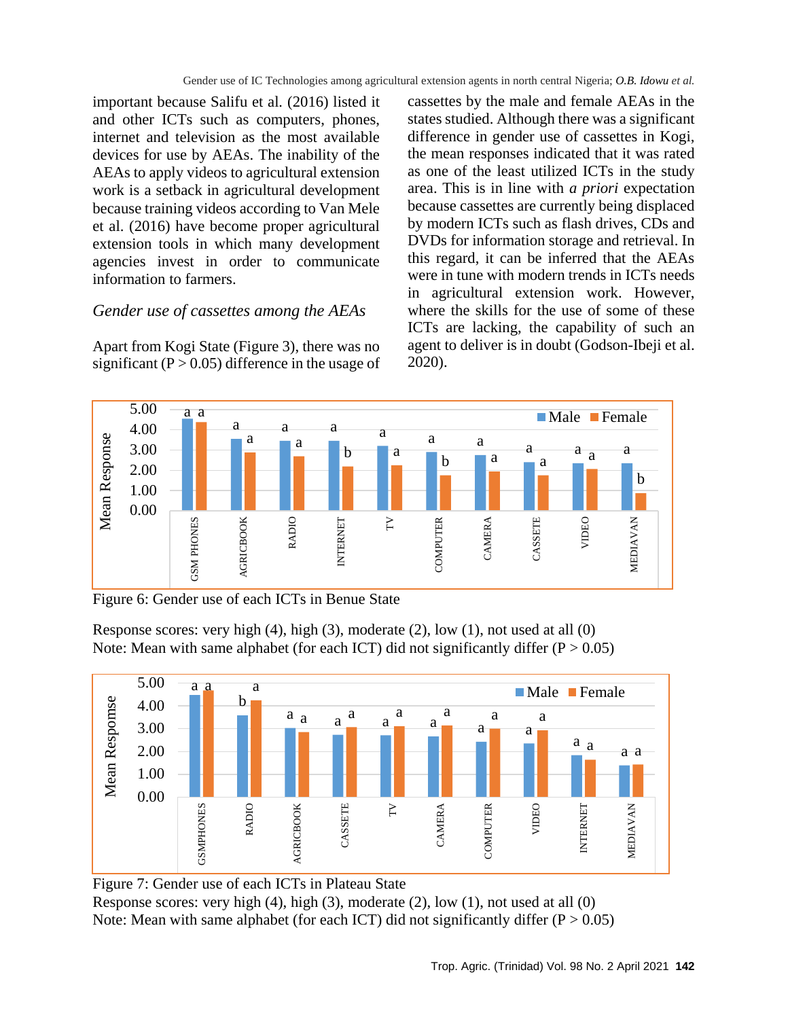important because Salifu et al*.* (2016) listed it and other ICTs such as computers, phones, internet and television as the most available devices for use by AEAs. The inability of the AEAs to apply videos to agricultural extension work is a setback in agricultural development because training videos according to Van Mele et al. (2016) have become proper agricultural extension tools in which many development agencies invest in order to communicate information to farmers.

## *Gender use of cassettes among the AEAs*

Apart from Kogi State (Figure 3), there was no significant  $(P > 0.05)$  difference in the usage of cassettes by the male and female AEAs in the states studied. Although there was a significant difference in gender use of cassettes in Kogi, the mean responses indicated that it was rated as one of the least utilized ICTs in the study area. This is in line with *a priori* expectation because cassettes are currently being displaced by modern ICTs such as flash drives, CDs and DVDs for information storage and retrieval. In this regard, it can be inferred that the AEAs were in tune with modern trends in ICTs needs in agricultural extension work. However, where the skills for the use of some of these ICTs are lacking, the capability of such an agent to deliver is in doubt (Godson-Ibeji et al. 2020).



Figure 6: Gender use of each ICTs in Benue State

Response scores: very high (4), high (3), moderate (2), low (1), not used at all (0) Note: Mean with same alphabet (for each ICT) did not significantly differ  $(P > 0.05)$ 



Figure 7: Gender use of each ICTs in Plateau State Response scores: very high (4), high (3), moderate (2), low (1), not used at all (0) Note: Mean with same alphabet (for each ICT) did not significantly differ  $(P > 0.05)$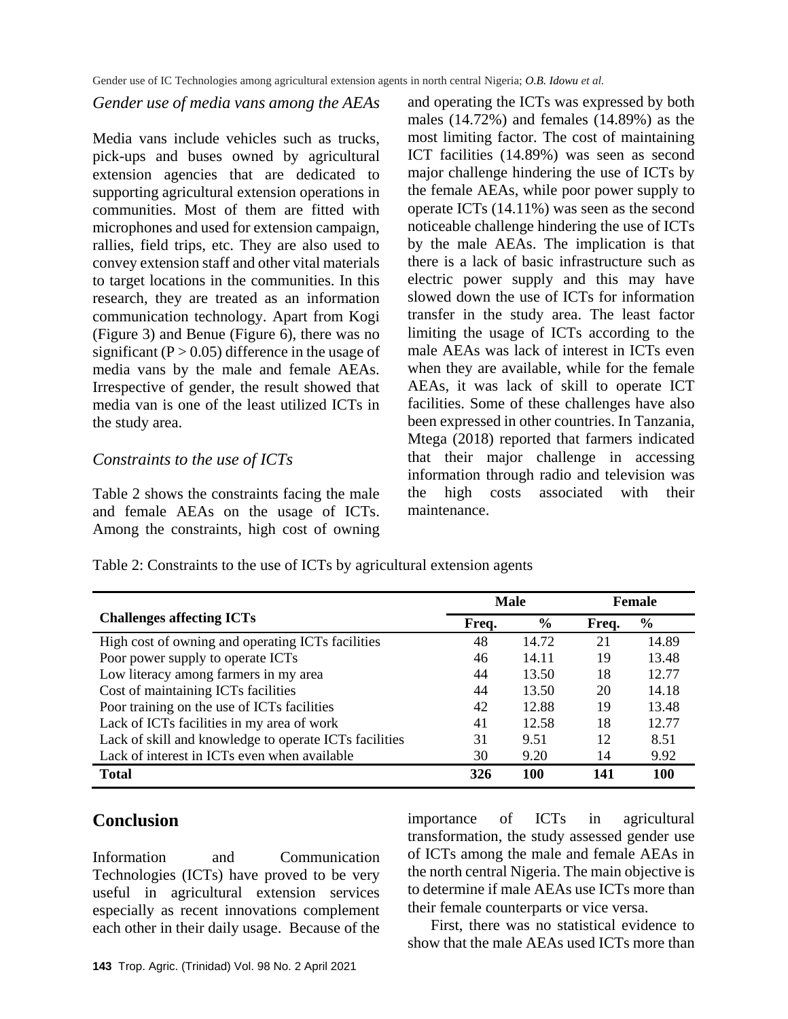#### *Gender use of media vans among the AEAs*

Media vans include vehicles such as trucks, pick-ups and buses owned by agricultural extension agencies that are dedicated to supporting agricultural extension operations in communities. Most of them are fitted with microphones and used for extension campaign, rallies, field trips, etc. They are also used to convey extension staff and other vital materials to target locations in the communities. In this research, they are treated as an information communication technology. Apart from Kogi (Figure 3) and Benue (Figure 6), there was no significant  $(P > 0.05)$  difference in the usage of media vans by the male and female AEAs. Irrespective of gender, the result showed that media van is one of the least utilized ICTs in the study area.

## *Constraints to the use of ICTs*

Table 2 shows the constraints facing the male and female AEAs on the usage of ICTs. Among the constraints, high cost of owning and operating the ICTs was expressed by both males (14.72%) and females (14.89%) as the most limiting factor. The cost of maintaining ICT facilities (14.89%) was seen as second major challenge hindering the use of ICTs by the female AEAs, while poor power supply to operate ICTs (14.11%) was seen as the second noticeable challenge hindering the use of ICTs by the male AEAs. The implication is that there is a lack of basic infrastructure such as electric power supply and this may have slowed down the use of ICTs for information transfer in the study area. The least factor limiting the usage of ICTs according to the male AEAs was lack of interest in ICTs even when they are available, while for the female AEAs, it was lack of skill to operate ICT facilities. Some of these challenges have also been expressed in other countries. In Tanzania, Mtega (2018) reported that farmers indicated that their major challenge in accessing information through radio and television was the high costs associated with their maintenance.

Table 2: Constraints to the use of ICTs by agricultural extension agents

|                                                        | <b>Male</b> |               | <b>Female</b> |               |
|--------------------------------------------------------|-------------|---------------|---------------|---------------|
| <b>Challenges affecting ICTs</b>                       | Freq.       | $\frac{6}{9}$ | Freq.         | $\frac{6}{9}$ |
| High cost of owning and operating ICTs facilities      | 48          | 14.72         | 21            | 14.89         |
| Poor power supply to operate ICTs                      | 46          | 14.11         | 19            | 13.48         |
| Low literacy among farmers in my area                  | 44          | 13.50         | 18            | 12.77         |
| Cost of maintaining ICTs facilities                    | 44          | 13.50         | 20            | 14.18         |
| Poor training on the use of ICTs facilities            | 42          | 12.88         | 19            | 13.48         |
| Lack of ICTs facilities in my area of work             | 41          | 12.58         | 18            | 12.77         |
| Lack of skill and knowledge to operate ICTs facilities | 31          | 9.51          | 12            | 8.51          |
| Lack of interest in ICTs even when available           | 30          | 9.20          | 14            | 9.92          |
| <b>Total</b>                                           | 326         | 100           | 141           | 100           |

# **Conclusion**

Information and Communication Technologies (ICTs) have proved to be very useful in agricultural extension services especially as recent innovations complement each other in their daily usage. Because of the importance of ICTs in agricultural transformation, the study assessed gender use of ICTs among the male and female AEAs in the north central Nigeria. The main objective is to determine if male AEAs use ICTs more than their female counterparts or vice versa.

First, there was no statistical evidence to show that the male AEAs used ICTs more than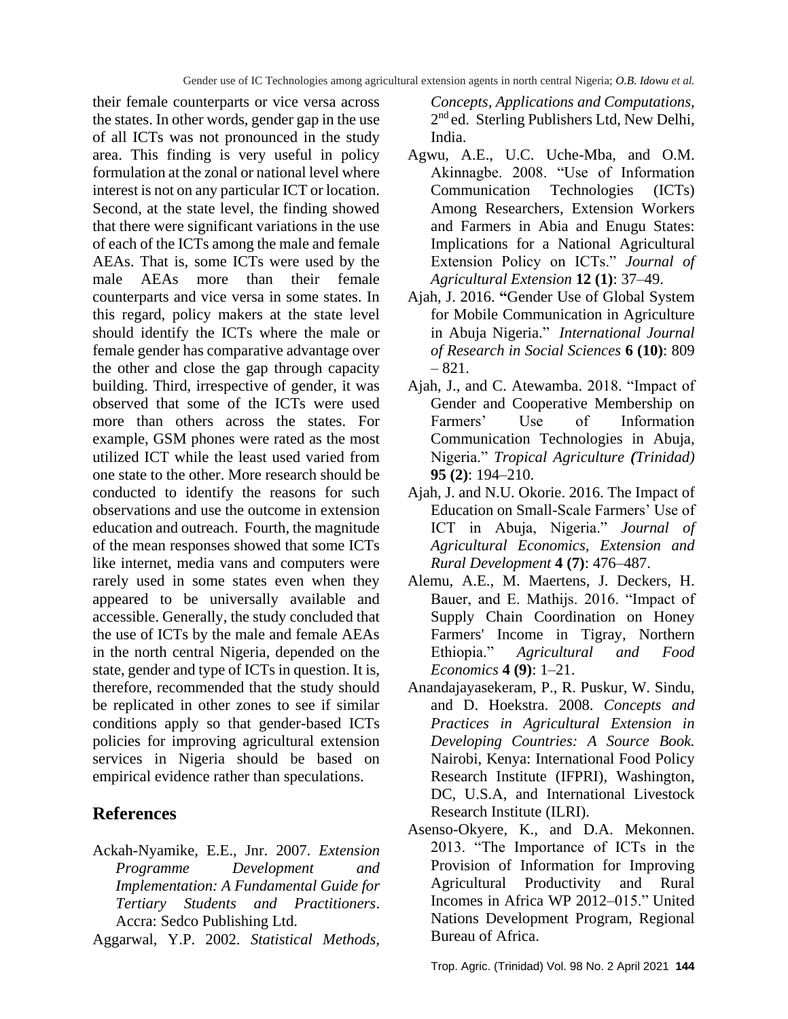their female counterparts or vice versa across the states. In other words, gender gap in the use of all ICTs was not pronounced in the study area. This finding is very useful in policy formulation at the zonal or national level where interest is not on any particular ICT or location. Second, at the state level, the finding showed that there were significant variations in the use of each of the ICTs among the male and female AEAs. That is, some ICTs were used by the male AEAs more than their female counterparts and vice versa in some states. In this regard, policy makers at the state level should identify the ICTs where the male or female gender has comparative advantage over the other and close the gap through capacity building. Third, irrespective of gender, it was observed that some of the ICTs were used more than others across the states. For example, GSM phones were rated as the most utilized ICT while the least used varied from one state to the other. More research should be conducted to identify the reasons for such observations and use the outcome in extension education and outreach. Fourth, the magnitude of the mean responses showed that some ICTs like internet, media vans and computers were rarely used in some states even when they appeared to be universally available and accessible. Generally, the study concluded that the use of ICTs by the male and female AEAs in the north central Nigeria, depended on the state, gender and type of ICTs in question. It is, therefore, recommended that the study should be replicated in other zones to see if similar conditions apply so that gender-based ICTs policies for improving agricultural extension services in Nigeria should be based on empirical evidence rather than speculations.

## **References**

- Ackah-Nyamike, E.E., Jnr. 2007. *Extension Programme Development and Implementation: A Fundamental Guide for Tertiary Students and Practitioners*. Accra: Sedco Publishing Ltd.
- Aggarwal, Y.P. 2002. *Statistical Methods,*

*Concepts, Applications and Computations,*  2<sup>nd</sup> ed. Sterling Publishers Ltd, New Delhi, India.

- Agwu, A.E., U.C. Uche-Mba, and O.M. Akinnagbe. 2008. "Use of Information Communication Technologies (ICTs) Among Researchers, Extension Workers and Farmers in Abia and Enugu States: Implications for a National Agricultural Extension Policy on ICTs." *Journal of Agricultural Extension* **12 (1)**: 37–49.
- Ajah, J. 2016. **"**Gender Use of Global System for Mobile Communication in Agriculture in Abuja Nigeria." *International Journal of Research in Social Sciences* **6 (10)**: 809 – 821.
- Ajah, J., and C. Atewamba. 2018. "Impact of Gender and Cooperative Membership on Farmers' Use of Information Communication Technologies in Abuja, Nigeria." *Tropical Agriculture (Trinidad)* **95 (2)**: 194–210.
- Ajah, J. and N.U. Okorie. 2016. The Impact of Education on Small-Scale Farmers' Use of ICT in Abuja, Nigeria." *Journal of Agricultural Economics, Extension and Rural Development* **4 (7)**: 476–487.
- Alemu, A.E., M. Maertens, J. Deckers, H. Bauer, and E. Mathijs. 2016. "Impact of Supply Chain Coordination on Honey Farmers' Income in Tigray, Northern Ethiopia." *Agricultural and Food Economics* **4 (9)**: 1–21.
- Anandajayasekeram, P., R. Puskur, W. Sindu, and D. Hoekstra. 2008. *Concepts and Practices in Agricultural Extension in Developing Countries: A Source Book.* Nairobi, Kenya: International Food Policy Research Institute (IFPRI), Washington, DC, U.S.A, and International Livestock Research Institute (ILRI).
- Asenso-Okyere, K., and D.A. Mekonnen. 2013. "The Importance of ICTs in the Provision of Information for Improving Agricultural Productivity and Rural Incomes in Africa WP 2012–015." United Nations Development Program, Regional Bureau of Africa.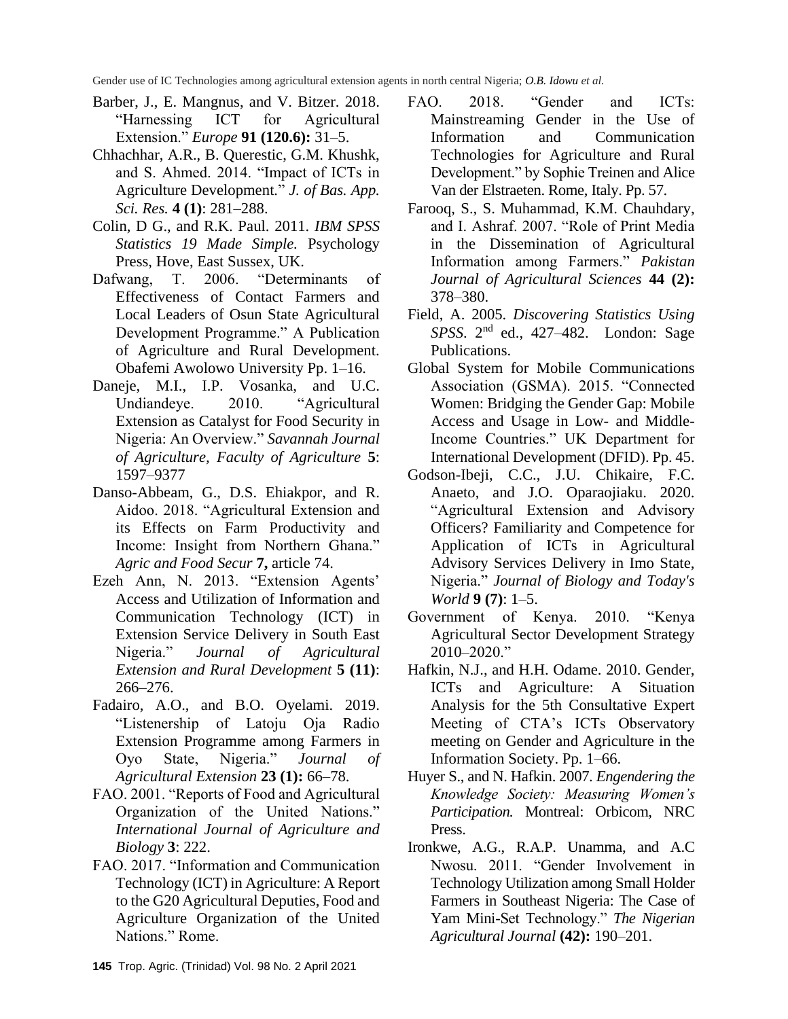- Barber, J., E. Mangnus, and V. Bitzer. 2018. "Harnessing ICT for Agricultural Extension." *Europe* **91 (120.6):** 31–5.
- Chhachhar, A.R., B. Querestic, G.M. Khushk, and S. Ahmed. 2014. "Impact of ICTs in Agriculture Development*.*" *J. of Bas. App. Sci. Res.* **4 (1)**: 281–288.
- Colin, D G., and R.K. Paul. 2011. *IBM SPSS Statistics 19 Made Simple.* Psychology Press, Hove, East Sussex, UK.
- Dafwang, T. 2006. "Determinants of Effectiveness of Contact Farmers and Local Leaders of Osun State Agricultural Development Programme." A Publication of Agriculture and Rural Development. Obafemi Awolowo University Pp. 1–16.
- Daneje, M.I., I.P. Vosanka, and U.C. Undiandeye. 2010. "Agricultural Extension as Catalyst for Food Security in Nigeria: An Overview." *Savannah Journal of Agriculture, Faculty of Agriculture* **5**: 1597–9377
- Danso-Abbeam, G., D.S. Ehiakpor, and R. Aidoo. 2018. "Agricultural Extension and its Effects on Farm Productivity and Income: Insight from Northern Ghana." *Agric and Food Secur* **7,** article 74.
- Ezeh Ann, N. 2013. "Extension Agents' Access and Utilization of Information and Communication Technology (ICT) in Extension Service Delivery in South East Nigeria." *Journal of Agricultural Extension and Rural Development* **5 (11)**: 266–276.
- Fadairo, A.O., and B.O. Oyelami. 2019. "Listenership of Latoju Oja Radio Extension Programme among Farmers in Oyo State, Nigeria." *Journal of Agricultural Extension* **23 (1):** 66–78.
- FAO. 2001. "Reports of Food and Agricultural Organization of the United Nations." *International Journal of Agriculture and Biology* **3**: 222.
- FAO. 2017. "Information and Communication Technology (ICT) in Agriculture: A Report to the G20 Agricultural Deputies, Food and Agriculture Organization of the United Nations." Rome.
- FAO. 2018. "Gender and ICTs: Mainstreaming Gender in the Use of Information and Communication Technologies for Agriculture and Rural Development." by Sophie Treinen and Alice Van der Elstraeten. Rome, Italy. Pp. 57.
- Farooq, S., S. Muhammad, K.M. Chauhdary, and I. Ashraf. 2007. "Role of Print Media in the Dissemination of Agricultural Information among Farmers." *Pakistan Journal of Agricultural Sciences* **44 (2):** 378–380.
- Field, A. 2005. *Discovering Statistics Using SPSS*. 2nd ed., 427–482. London: Sage Publications.
- Global System for Mobile Communications Association (GSMA). 2015. "Connected Women: Bridging the Gender Gap: Mobile Access and Usage in Low- and Middle-Income Countries." UK Department for International Development (DFID). Pp. 45.
- Godson-Ibeji, C.C., J.U. Chikaire, F.C. Anaeto, and J.O. Oparaojiaku. 2020. "Agricultural Extension and Advisory Officers? Familiarity and Competence for Application of ICTs in Agricultural Advisory Services Delivery in Imo State, Nigeria." *Journal of Biology and Today's World* **9 (7)**: 1–5.
- Government of Kenya. 2010. "Kenya Agricultural Sector Development Strategy 2010–2020."
- Hafkin, N.J., and H.H. Odame. 2010. Gender, ICTs and Agriculture: A Situation Analysis for the 5th Consultative Expert Meeting of CTA's ICTs Observatory meeting on Gender and Agriculture in the Information Society. Pp. 1–66.
- Huyer S., and N. Hafkin. 2007. *Engendering the Knowledge Society: Measuring Women's Participation.* Montreal: Orbicom, NRC Press.
- Ironkwe, A.G., R.A.P. Unamma, and A.C Nwosu. 2011. "Gender Involvement in Technology Utilization among Small Holder Farmers in Southeast Nigeria: The Case of Yam Mini-Set Technology." *The Nigerian Agricultural Journal* **(42):** 190–201.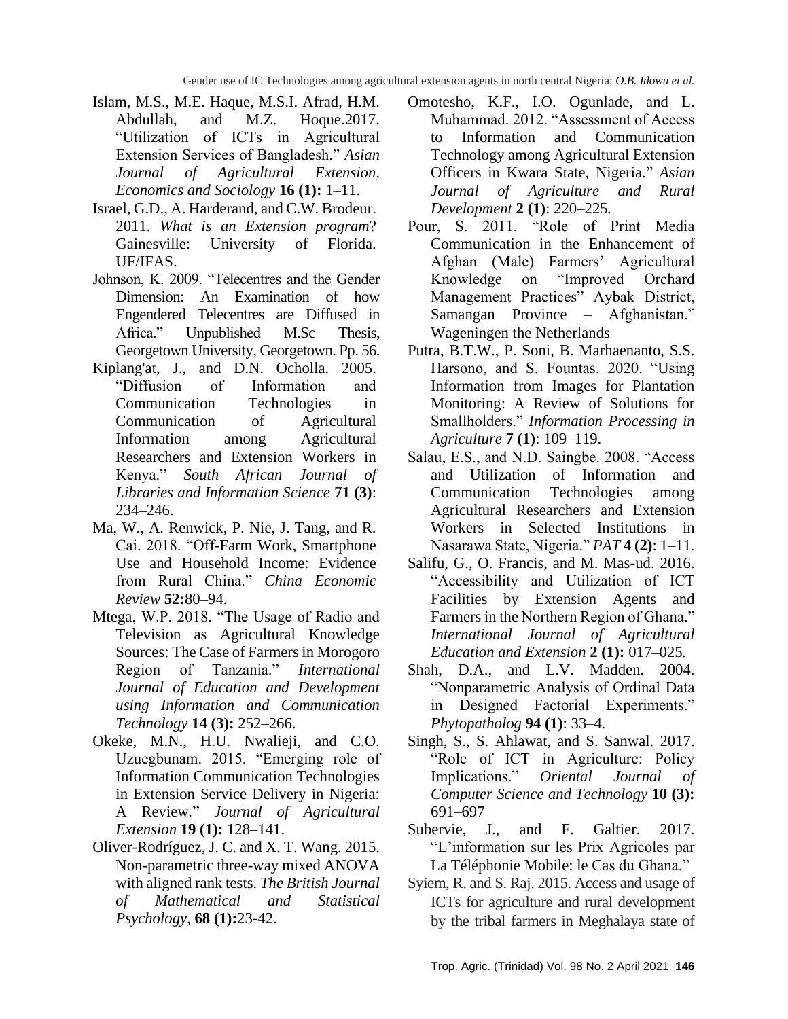- Islam, M.S., M.E. Haque, M.S.I. Afrad, H.M. Abdullah, and M.Z. Hoque.2017. "Utilization of ICTs in Agricultural Extension Services of Bangladesh." *Asian Journal of Agricultural Extension, Economics and Sociology* **16 (1):** 1–11.
- Israel, G.D., A. Harderand, and C.W. Brodeur. 2011. *What is an Extension program*? Gainesville: University of Florida. UF/IFAS.
- Johnson, K. 2009. "Telecentres and the Gender Dimension: An Examination of how Engendered Telecentres are Diffused in Africa." Unpublished M.Sc Thesis, Georgetown University, Georgetown. Pp. 56.
- Kiplang'at, J., and D.N. Ocholla. 2005. "Diffusion of Information and Communication Technologies in Communication of Agricultural Information among Agricultural Researchers and Extension Workers in Kenya." *South African Journal of Libraries and Information Science* **71 (3)**: 234–246.
- Ma, W., A. Renwick, P. Nie, J. Tang, and R. Cai. 2018. "Off-Farm Work, Smartphone Use and Household Income: Evidence from Rural China." *China Economic Review* **52:**80–94.
- Mtega, W.P. 2018. "The Usage of Radio and Television as Agricultural Knowledge Sources: The Case of Farmers in Morogoro Region of Tanzania." *International Journal of Education and Development using Information and Communication Technology* **14 (3):** 252–266.
- Okeke, M.N., H.U. Nwalieji, and C.O. Uzuegbunam. 2015. "Emerging role of Information Communication Technologies in Extension Service Delivery in Nigeria: A Review*.*" *Journal of Agricultural Extension* **19 (1):** 128–141.
- Oliver-Rodríguez, J. C. and X. T. Wang. 2015. Non-parametric three-way mixed ANOVA with aligned rank tests. *The British Journal of Mathematical and Statistical Psychology*, **68 (1):**23-42.
- Omotesho, K.F., I.O. Ogunlade, and L. Muhammad. 2012. "Assessment of Access to Information and Communication Technology among Agricultural Extension Officers in Kwara State, Nigeria*.*" *Asian Journal of Agriculture and Rural Development* **2 (1)**: 220–225*.*
- Pour, S. 2011. "Role of Print Media Communication in the Enhancement of Afghan (Male) Farmers' Agricultural Knowledge on "Improved Orchard Management Practices" Aybak District, Samangan Province – Afghanistan." Wageningen the Netherlands
- Putra, B.T.W., P. Soni, B. Marhaenanto, S.S. Harsono, and S. Fountas. 2020. "Using Information from Images for Plantation Monitoring: A Review of Solutions for Smallholders." *Information Processing in Agriculture* **7 (1)**: 109–119.
- Salau, E.S., and N.D. Saingbe. 2008. "Access and Utilization of Information and Communication Technologies among Agricultural Researchers and Extension Workers in Selected Institutions in Nasarawa State, Nigeria." *PAT* **4 (2)**: 1–11*.*
- Salifu, G., O. Francis, and M. Mas-ud. 2016. "Accessibility and Utilization of ICT Facilities by Extension Agents and Farmers in the Northern Region of Ghana." *International Journal of Agricultural Education and Extension* **2 (1):** 017–025*.*
- Shah, D.A., and L.V. Madden. 2004. "Nonparametric Analysis of Ordinal Data in Designed Factorial Experiments." *Phytopatholog* **94 (1)**: 33–4*.*
- Singh, S., S. Ahlawat, and S. Sanwal. 2017. "Role of ICT in Agriculture: Policy Implications." *Oriental Journal of Computer Science and Technology* **10 (3):** 691–697
- Subervie, J., and F. Galtier. 2017. "L'information sur les Prix Agricoles par La Téléphonie Mobile: le Cas du Ghana."
- Syiem, R. and S. Raj. 2015. Access and usage of ICTs for agriculture and rural development by the tribal farmers in Meghalaya state of